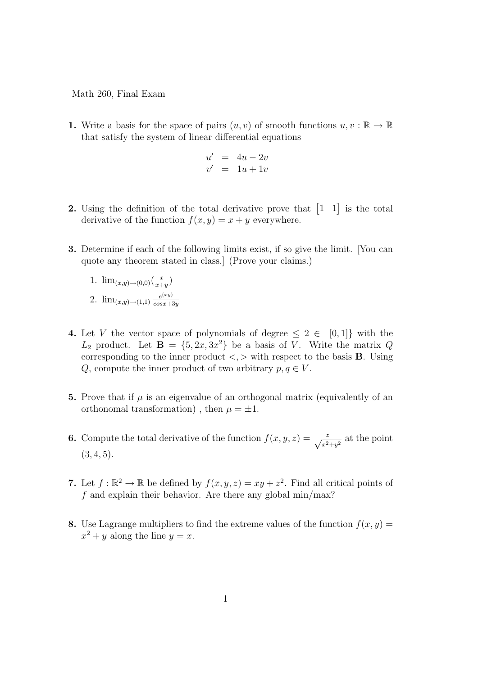Math 260, Final Exam

1. Write a basis for the space of pairs  $(u, v)$  of smooth functions  $u, v : \mathbb{R} \to \mathbb{R}$ that satisfy the system of linear differential equations

$$
u' = 4u - 2v
$$
  

$$
v' = 1u + 1v
$$

- 2. Using the definition of the total derivative prove that  $\begin{bmatrix} 1 & 1 \end{bmatrix}$  is the total derivative of the function  $f(x, y) = x + y$  everywhere.
- 3. Determine if each of the following limits exist, if so give the limit. [You can quote any theorem stated in class.] (Prove your claims.)
	- 1.  $\lim_{(x,y)\to(0,0)}\left(\frac{x}{x+1}\right)$  $\frac{x}{x+y}$ 2.  $\lim_{(x,y)\to(1,1)}\frac{e^{(xy)}}{\cos x}$

 $cosx+3y$ 

- 4. Let V the vector space of polynomials of degree  $\leq 2 \in [0,1]$  with the  $L_2$  product. Let  $\mathbf{B} = \{5, 2x, 3x^2\}$  be a basis of V. Write the matrix Q corresponding to the inner product  $\langle \rangle$  with respect to the basis **B**. Using Q, compute the inner product of two arbitrary  $p, q \in V$ .
- 5. Prove that if  $\mu$  is an eigenvalue of an orthogonal matrix (equivalently of an orthonomal transformation), then  $\mu = \pm 1$ .
- **6.** Compute the total derivative of the function  $f(x, y, z) = \frac{z}{\sqrt{x^2+y^2}}$  at the point  $(3, 4, 5).$
- 7. Let  $f : \mathbb{R}^2 \to \mathbb{R}$  be defined by  $f(x, y, z) = xy + z^2$ . Find all critical points of  $f$  and explain their behavior. Are there any global min/max?
- 8. Use Lagrange multipliers to find the extreme values of the function  $f(x, y) =$  $x^2 + y$  along the line  $y = x$ .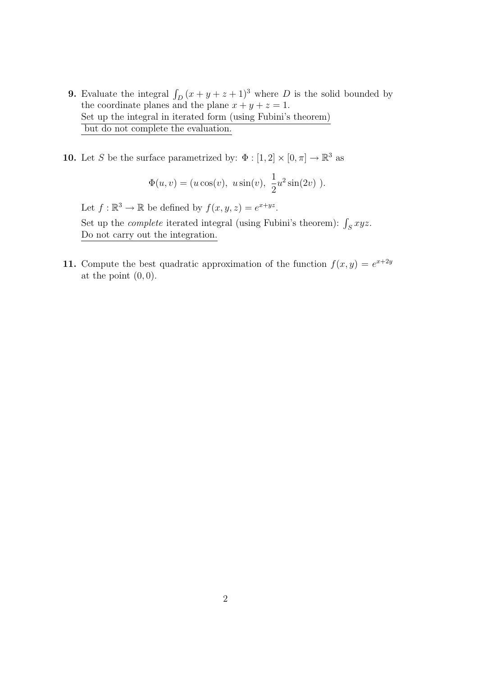- **9.** Evaluate the integral  $\int_D (x + y + z + 1)^3$  where D is the solid bounded by the coordinate planes and the plane  $x + y + z = 1$ . Set up the integral in iterated form (using Fubini's theorem) but do not complete the evaluation.
- **10.** Let S be the surface parametrized by:  $\Phi : [1, 2] \times [0, \pi] \to \mathbb{R}^3$  as

$$
\Phi(u, v) = (u \cos(v), u \sin(v), \frac{1}{2}u^2 \sin(2v)).
$$

Let  $f : \mathbb{R}^3 \to \mathbb{R}$  be defined by  $f(x, y, z) = e^{x + yz}$ . Set up the *complete* iterated integral (using Fubini's theorem):  $\int_S xyz$ . Do not carry out the integration.

11. Compute the best quadratic approximation of the function  $f(x, y) = e^{x+2y}$ at the point  $(0, 0)$ .